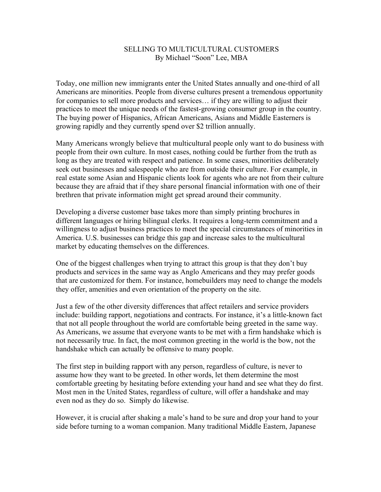## SELLING TO MULTICULTURAL CUSTOMERS By Michael "Soon" Lee, MBA

Today, one million new immigrants enter the United States annually and one-third of all Americans are minorities. People from diverse cultures present a tremendous opportunity for companies to sell more products and services… if they are willing to adjust their practices to meet the unique needs of the fastest-growing consumer group in the country. The buying power of Hispanics, African Americans, Asians and Middle Easterners is growing rapidly and they currently spend over \$2 trillion annually.

Many Americans wrongly believe that multicultural people only want to do business with people from their own culture. In most cases, nothing could be further from the truth as long as they are treated with respect and patience. In some cases, minorities deliberately seek out businesses and salespeople who are from outside their culture. For example, in real estate some Asian and Hispanic clients look for agents who are not from their culture because they are afraid that if they share personal financial information with one of their brethren that private information might get spread around their community.

Developing a diverse customer base takes more than simply printing brochures in different languages or hiring bilingual clerks. It requires a long-term commitment and a willingness to adjust business practices to meet the special circumstances of minorities in America. U.S. businesses can bridge this gap and increase sales to the multicultural market by educating themselves on the differences.

One of the biggest challenges when trying to attract this group is that they don't buy products and services in the same way as Anglo Americans and they may prefer goods that are customized for them. For instance, homebuilders may need to change the models they offer, amenities and even orientation of the property on the site.

Just a few of the other diversity differences that affect retailers and service providers include: building rapport, negotiations and contracts. For instance, it's a little-known fact that not all people throughout the world are comfortable being greeted in the same way. As Americans, we assume that everyone wants to be met with a firm handshake which is not necessarily true. In fact, the most common greeting in the world is the bow, not the handshake which can actually be offensive to many people.

The first step in building rapport with any person, regardless of culture, is never to assume how they want to be greeted. In other words, let them determine the most comfortable greeting by hesitating before extending your hand and see what they do first. Most men in the United States, regardless of culture, will offer a handshake and may even nod as they do so. Simply do likewise.

However, it is crucial after shaking a male's hand to be sure and drop your hand to your side before turning to a woman companion. Many traditional Middle Eastern, Japanese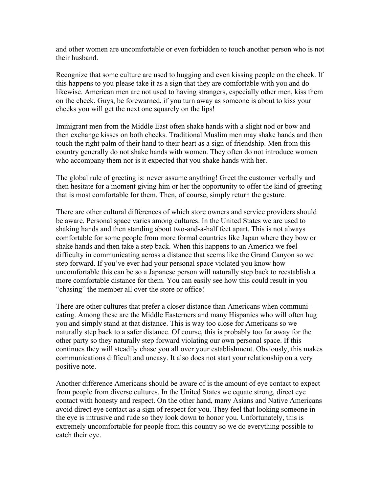and other women are uncomfortable or even forbidden to touch another person who is not their husband.

Recognize that some culture are used to hugging and even kissing people on the cheek. If this happens to you please take it as a sign that they are comfortable with you and do likewise. American men are not used to having strangers, especially other men, kiss them on the cheek. Guys, be forewarned, if you turn away as someone is about to kiss your cheeks you will get the next one squarely on the lips!

Immigrant men from the Middle East often shake hands with a slight nod or bow and then exchange kisses on both cheeks. Traditional Muslim men may shake hands and then touch the right palm of their hand to their heart as a sign of friendship. Men from this country generally do not shake hands with women. They often do not introduce women who accompany them nor is it expected that you shake hands with her.

The global rule of greeting is: never assume anything! Greet the customer verbally and then hesitate for a moment giving him or her the opportunity to offer the kind of greeting that is most comfortable for them. Then, of course, simply return the gesture.

There are other cultural differences of which store owners and service providers should be aware. Personal space varies among cultures. In the United States we are used to shaking hands and then standing about two-and-a-half feet apart. This is not always comfortable for some people from more formal countries like Japan where they bow or shake hands and then take a step back. When this happens to an America we feel difficulty in communicating across a distance that seems like the Grand Canyon so we step forward. If you've ever had your personal space violated you know how uncomfortable this can be so a Japanese person will naturally step back to reestablish a more comfortable distance for them. You can easily see how this could result in you "chasing" the member all over the store or office!

There are other cultures that prefer a closer distance than Americans when communicating. Among these are the Middle Easterners and many Hispanics who will often hug you and simply stand at that distance. This is way too close for Americans so we naturally step back to a safer distance. Of course, this is probably too far away for the other party so they naturally step forward violating our own personal space. If this continues they will steadily chase you all over your establishment. Obviously, this makes communications difficult and uneasy. It also does not start your relationship on a very positive note.

Another difference Americans should be aware of is the amount of eye contact to expect from people from diverse cultures. In the United States we equate strong, direct eye contact with honesty and respect. On the other hand, many Asians and Native Americans avoid direct eye contact as a sign of respect for you. They feel that looking someone in the eye is intrusive and rude so they look down to honor you. Unfortunately, this is extremely uncomfortable for people from this country so we do everything possible to catch their eye.